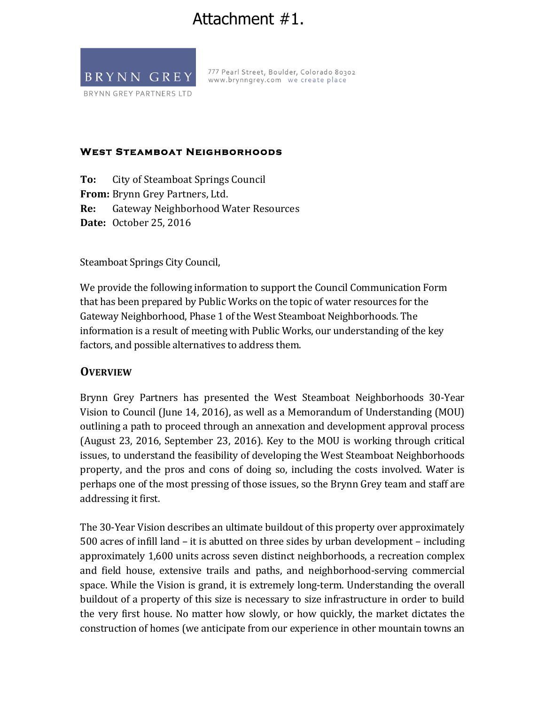# Attachment #1.



777 Pearl Street, Boulder, Colorado 80302 www.brynngrey.com we create place

#### **West Steamboat Neighborhoods**

**To:** City of Steamboat Springs Council **From:** Brynn Grey Partners, Ltd. **Re:** Gateway Neighborhood Water Resources **Date:** October 25, 2016

Steamboat Springs City Council,

We provide the following information to support the Council Communication Form that has been prepared by Public Works on the topic of water resources for the Gateway Neighborhood, Phase 1 of the West Steamboat Neighborhoods. The information is a result of meeting with Public Works, our understanding of the key factors, and possible alternatives to address them.

### **OVERVIEW**

Brynn Grey Partners has presented the West Steamboat Neighborhoods 30-Year Vision to Council (June 14, 2016), as well as a Memorandum of Understanding (MOU) outlining a path to proceed through an annexation and development approval process (August 23, 2016, September 23, 2016). Key to the MOU is working through critical issues, to understand the feasibility of developing the West Steamboat Neighborhoods property, and the pros and cons of doing so, including the costs involved. Water is perhaps one of the most pressing of those issues, so the Brynn Grey team and staff are addressing it first.

The 30-Year Vision describes an ultimate buildout of this property over approximately 500 acres of infill land  $-$  it is abutted on three sides by urban development  $-$  including approximately 1,600 units across seven distinct neighborhoods, a recreation complex and field house, extensive trails and paths, and neighborhood-serving commercial space. While the Vision is grand, it is extremely long-term. Understanding the overall buildout of a property of this size is necessary to size infrastructure in order to build the very first house. No matter how slowly, or how quickly, the market dictates the construction of homes (we anticipate from our experience in other mountain towns an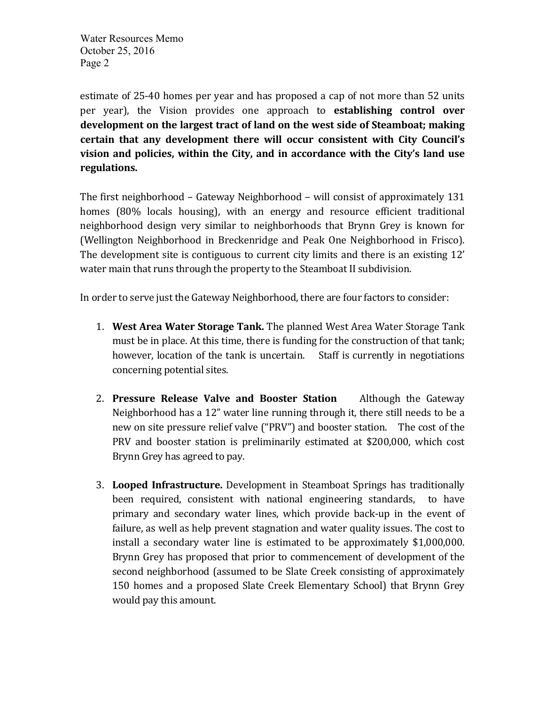estimate of 25-40 homes per year and has proposed a cap of not more than 52 units per year), the Vision provides one approach to **establishing control over** development on the largest tract of land on the west side of Steamboat; making certain that any development there will occur consistent with City Council's vision and policies, within the City, and in accordance with the City's land use regulations.

The first neighborhood – Gateway Neighborhood – will consist of approximately  $131$ homes (80% locals housing), with an energy and resource efficient traditional neighborhood design very similar to neighborhoods that Brynn Grey is known for (Wellington Neighborhood in Breckenridge and Peak One Neighborhood in Frisco). The development site is contiguous to current city limits and there is an existing 12' water main that runs through the property to the Steamboat II subdivision.

In order to serve just the Gateway Neighborhood, there are four factors to consider:

- 1. **West Area Water Storage Tank.** The planned West Area Water Storage Tank must be in place. At this time, there is funding for the construction of that tank; however, location of the tank is uncertain. Staff is currently in negotiations concerning potential sites.
- 2. **Pressure Release Valve and Booster Station** Although the Gateway Neighborhood has a 12" water line running through it, there still needs to be a new on site pressure relief valve ("PRV") and booster station. The cost of the PRV and booster station is preliminarily estimated at \$200,000, which cost Brynn Grey has agreed to pay.
- 3. **Looped Infrastructure.** Development in Steamboat Springs has traditionally been required, consistent with national engineering standards, to have primary and secondary water lines, which provide back-up in the event of failure, as well as help prevent stagnation and water quality issues. The cost to install a secondary water line is estimated to be approximately  $$1,000,000$ . Brynn Grey has proposed that prior to commencement of development of the second neighborhood (assumed to be Slate Creek consisting of approximately 150 homes and a proposed Slate Creek Elementary School) that Brynn Grey would pay this amount.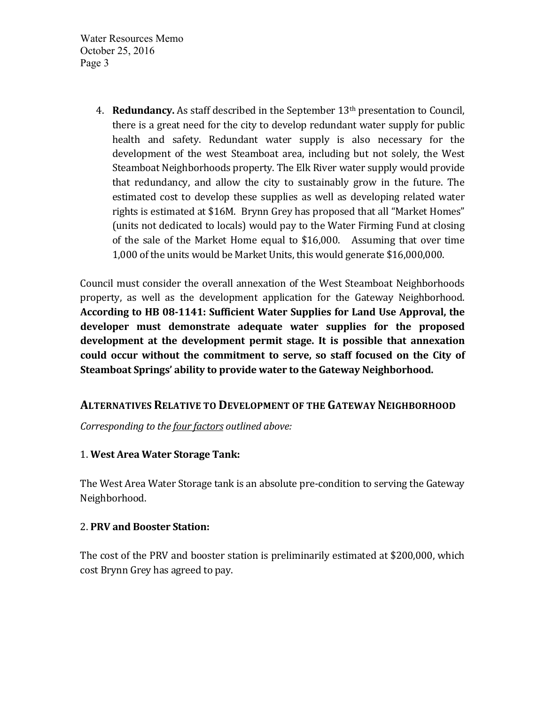> 4. **Redundancy.** As staff described in the September 13<sup>th</sup> presentation to Council, there is a great need for the city to develop redundant water supply for public health and safety. Redundant water supply is also necessary for the development of the west Steamboat area, including but not solely, the West Steamboat Neighborhoods property. The Elk River water supply would provide that redundancy, and allow the city to sustainably grow in the future. The estimated cost to develop these supplies as well as developing related water rights is estimated at \$16M. Brynn Grey has proposed that all "Market Homes" (units not dedicated to locals) would pay to the Water Firming Fund at closing of the sale of the Market Home equal to  $$16,000$ . Assuming that over time 1,000 of the units would be Market Units, this would generate \$16,000,000.

Council must consider the overall annexation of the West Steamboat Neighborhoods property, as well as the development application for the Gateway Neighborhood. According to HB 08-1141: Sufficient Water Supplies for Land Use Approval, the developer must demonstrate adequate water supplies for the proposed development at the development permit stage. It is possible that annexation could occur without the commitment to serve, so staff focused on the City of Steamboat Springs' ability to provide water to the Gateway Neighborhood.

## **ALTERNATIVES RELATIVE TO DEVELOPMENT OF THE GATEWAY NEIGHBORHOOD**

*Corresponding to the four factors outlined above:* 

### 1. **West Area Water Storage Tank:**

The West Area Water Storage tank is an absolute pre-condition to serving the Gateway Neighborhood. 

### 2. **PRV and Booster Station:**

The cost of the PRV and booster station is preliminarily estimated at \$200,000, which cost Brynn Grey has agreed to pay.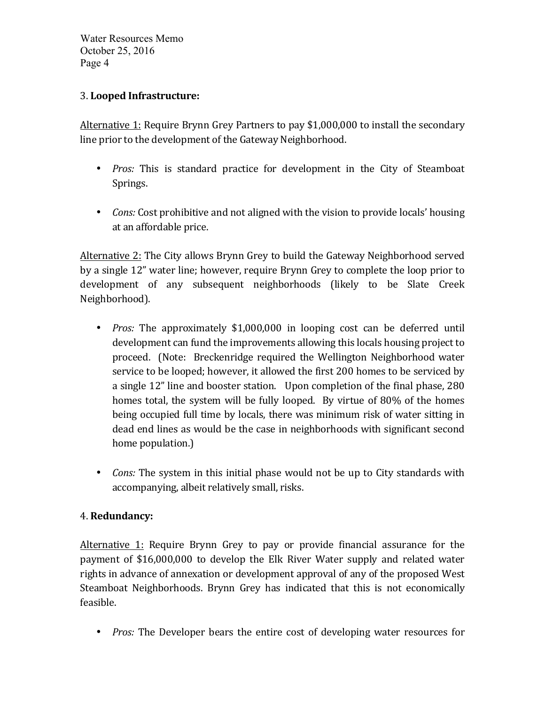## 3. **Looped Infrastructure:**

Alternative 1: Require Brynn Grey Partners to pay \$1,000,000 to install the secondary line prior to the development of the Gateway Neighborhood.

- *Pros:* This is standard practice for development in the City of Steamboat Springs.
- *Cons:* Cost prohibitive and not aligned with the vision to provide locals' housing at an affordable price.

Alternative 2: The City allows Brynn Grey to build the Gateway Neighborhood served by a single 12" water line; however, require Brynn Grey to complete the loop prior to development of any subsequent neighborhoods (likely to be Slate Creek Neighborhood). 

- *Pros:* The approximately \$1,000,000 in looping cost can be deferred until development can fund the improvements allowing this locals housing project to proceed. (Note: Breckenridge required the Wellington Neighborhood water service to be looped; however, it allowed the first 200 homes to be serviced by a single 12" line and booster station. Upon completion of the final phase, 280 homes total, the system will be fully looped. By virtue of 80% of the homes being occupied full time by locals, there was minimum risk of water sitting in dead end lines as would be the case in neighborhoods with significant second home population.)
- *Cons:* The system in this initial phase would not be up to City standards with accompanying, albeit relatively small, risks.

### 4. **Redundancy:**

Alternative 1: Require Brynn Grey to pay or provide financial assurance for the payment of \$16,000,000 to develop the Elk River Water supply and related water rights in advance of annexation or development approval of any of the proposed West Steamboat Neighborhoods. Brynn Grey has indicated that this is not economically feasible.

• *Pros:* The Developer bears the entire cost of developing water resources for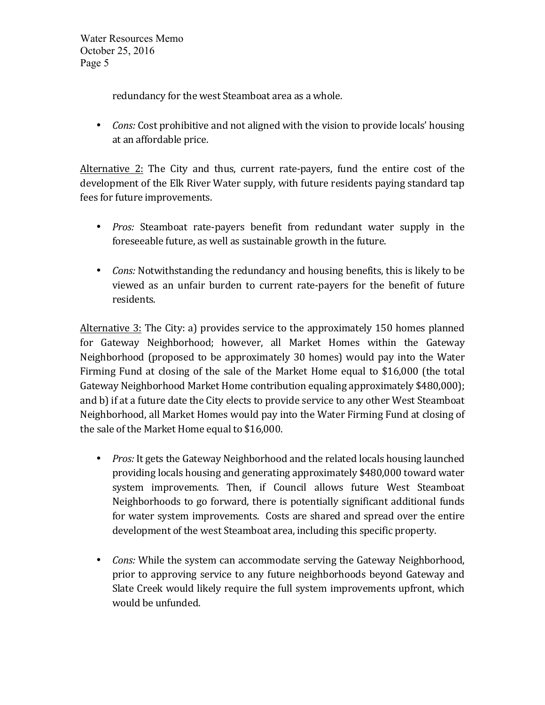redundancy for the west Steamboat area as a whole.

• *Cons:* Cost prohibitive and not aligned with the vision to provide locals' housing at an affordable price.

Alternative 2: The City and thus, current rate-payers, fund the entire cost of the development of the Elk River Water supply, with future residents paying standard tap fees for future improvements.

- *Pros:* Steamboat rate-payers benefit from redundant water supply in the foreseeable future, as well as sustainable growth in the future.
- *Cons:* Notwithstanding the redundancy and housing benefits, this is likely to be viewed as an unfair burden to current rate-payers for the benefit of future residents.

Alternative 3: The City: a) provides service to the approximately 150 homes planned for Gateway Neighborhood; however, all Market Homes within the Gateway Neighborhood (proposed to be approximately 30 homes) would pay into the Water Firming Fund at closing of the sale of the Market Home equal to \$16,000 (the total Gateway Neighborhood Market Home contribution equaling approximately \$480,000); and b) if at a future date the City elects to provide service to any other West Steamboat Neighborhood, all Market Homes would pay into the Water Firming Fund at closing of the sale of the Market Home equal to \$16,000.

- *Pros:* It gets the Gateway Neighborhood and the related locals housing launched providing locals housing and generating approximately \$480,000 toward water system improvements. Then, if Council allows future West Steamboat Neighborhoods to go forward, there is potentially significant additional funds for water system improvements. Costs are shared and spread over the entire development of the west Steamboat area, including this specific property.
- *Cons:* While the system can accommodate serving the Gateway Neighborhood, prior to approving service to any future neighborhoods beyond Gateway and Slate Creek would likely require the full system improvements upfront, which would be unfunded.